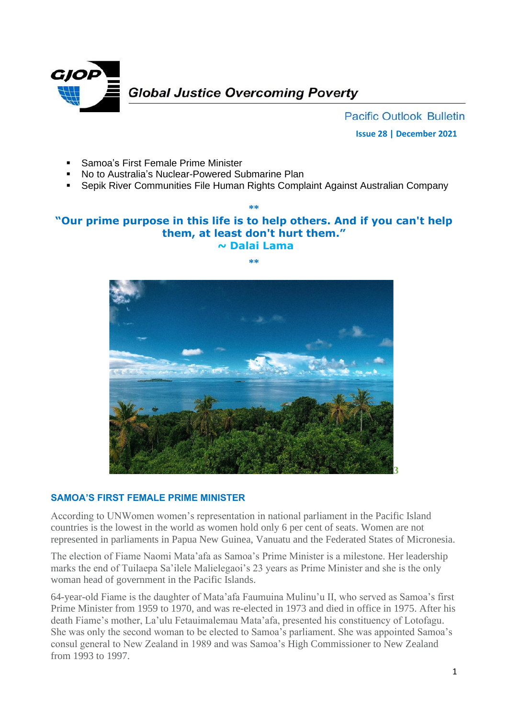

**Pacific Outlook Bulletin Issue 28 | December 2021**

- Samoa's First Female Prime Minister
- No to Australia's Nuclear-Powered Submarine Plan
- Sepik River Communities File Human Rights Complaint Against Australian Company

# **"Our prime purpose in this life is to help others. And if you can't help them, at least don't hurt them." ~ Dalai Lama**

**\*\***

#### **\*\***



## **SAMOA'S FIRST FEMALE PRIME MINISTER**

According to UNWomen women's representation in national parliament in the Pacific Island countries is the lowest in the world as women hold only 6 per cent of seats. Women are not represented in parliaments in Papua New Guinea, Vanuatu and the Federated States of Micronesia.

The election of Fiame Naomi Mata'afa as Samoa's Prime Minister is a milestone. Her leadership marks the end of Tuilaepa Sa'ilele Malielegaoi's 23 years as Prime Minister and she is the only woman head of government in the Pacific Islands.

64-year-old Fiame is the daughter of Mata'afa Faumuina Mulinu'u II, who served as Samoa's first Prime Minister from 1959 to 1970, and was re-elected in 1973 and died in office in 1975. After his death Fiame's mother, La'ulu Fetauimalemau Mata'afa, presented his constituency of Lotofagu. She was only the second woman to be elected to Samoa's parliament. She was appointed Samoa's consul general to New Zealand in 1989 and was Samoa's High Commissioner to New Zealand from 1993 to 1997.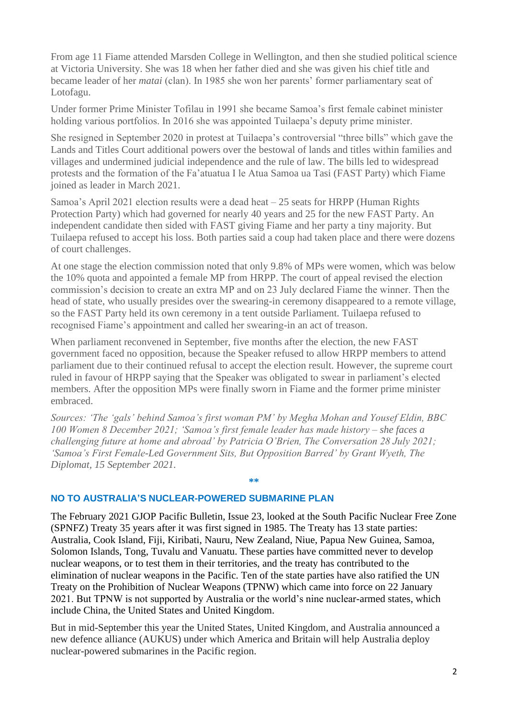From age 11 Fiame attended Marsden College in Wellington, and then she studied political science at Victoria University. She was 18 when her father died and she was given his chief title and became leader of her *matai* (clan). In 1985 she won her parents' former parliamentary seat of Lotofagu.

Under former Prime Minister Tofilau in 1991 she became Samoa's first female cabinet minister holding various portfolios. In 2016 she was appointed Tuilaepa's deputy prime minister.

She resigned in September 2020 in protest at Tuilaepa's controversial "three bills" which gave the Lands and Titles Court additional powers over the bestowal of lands and titles within families and villages and undermined judicial independence and the rule of law. The bills led to widespread protests and the formation of the Fa'atuatua I le Atua Samoa ua Tasi (FAST Party) which Fiame joined as leader in March 2021.

Samoa's April 2021 election results were a dead heat – 25 seats for HRPP (Human Rights Protection Party) which had governed for nearly 40 years and 25 for the new FAST Party. An independent candidate then sided with FAST giving Fiame and her party a tiny majority. But Tuilaepa refused to accept his loss. Both parties said a coup had taken place and there were dozens of court challenges.

At one stage the election commission noted that only 9.8% of MPs were women, which was below the 10% quota and appointed a female MP from HRPP. The court of appeal revised the election commission's decision to create an extra MP and on 23 July declared Fiame the winner. Then the head of state, who usually presides over the swearing-in ceremony disappeared to a remote village, so the FAST Party held its own ceremony in a tent outside Parliament. Tuilaepa refused to recognised Fiame's appointment and called her swearing-in an act of treason.

When parliament reconvened in September, five months after the election, the new FAST government faced no opposition, because the Speaker refused to allow HRPP members to attend parliament due to their continued refusal to accept the election result. However, the supreme court ruled in favour of HRPP saying that the Speaker was obligated to swear in parliament's elected members. After the opposition MPs were finally sworn in Fiame and the former prime minister embraced.

*Sources: 'The 'gals' behind Samoa's first woman PM' by Megha Mohan and Yousef Eldin, BBC 100 Women 8 December 2021; 'Samoa's first female leader has made history – she faces a challenging future at home and abroad' by Patricia O'Brien, The Conversation 28 July 2021; 'Samoa's First Female-Led Government Sits, But Opposition Barred' by Grant Wyeth, The Diplomat, 15 September 2021.*

**\*\***

## **NO TO AUSTRALIA'S NUCLEAR-POWERED SUBMARINE PLAN**

The February 2021 GJOP Pacific Bulletin, Issue 23, looked at the South Pacific Nuclear Free Zone (SPNFZ) Treaty 35 years after it was first signed in 1985. The Treaty has 13 state parties: Australia, Cook Island, Fiji, Kiribati, Nauru, New Zealand, Niue, Papua New Guinea, Samoa, Solomon Islands, Tong, Tuvalu and Vanuatu. These parties have committed never to develop nuclear weapons, or to test them in their territories, and the treaty has contributed to the elimination of nuclear weapons in the Pacific. Ten of the state parties have also ratified the UN Treaty on the Prohibition of Nuclear Weapons (TPNW) which came into force on 22 January 2021. But TPNW is not supported by Australia or the world's nine nuclear-armed states, which include China, the United States and United Kingdom.

But in mid-September this year the United States, United Kingdom, and Australia announced a new defence alliance (AUKUS) under which America and Britain will help Australia deploy nuclear-powered submarines in the Pacific region.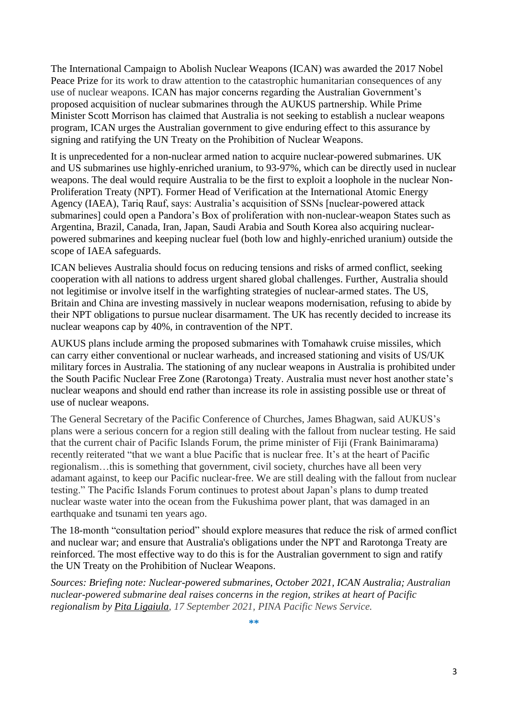The International Campaign to Abolish Nuclear Weapons (ICAN) was awarded the 2017 Nobel Peace Prize for its work to draw attention to the catastrophic humanitarian consequences of any use of nuclear weapons. ICAN has major concerns regarding the Australian Government's proposed acquisition of nuclear submarines through the AUKUS partnership. While Prime Minister Scott Morrison has claimed that Australia is not seeking to establish a nuclear weapons program, ICAN urges the Australian government to give enduring effect to this assurance by signing and ratifying the UN Treaty on the Prohibition of Nuclear Weapons.

It is unprecedented for a non-nuclear armed nation to acquire nuclear-powered submarines. UK and US submarines use highly-enriched uranium, to 93-97%, which can be directly used in nuclear weapons. The deal would require Australia to be the first to exploit a loophole in the nuclear Non-Proliferation Treaty (NPT). Former Head of Verification at the International Atomic Energy Agency (IAEA), Tariq Rauf, says: Australia's acquisition of SSNs [nuclear-powered attack submarines] could open a Pandora's Box of proliferation with non-nuclear-weapon States such as Argentina, Brazil, Canada, Iran, Japan, Saudi Arabia and South Korea also acquiring nuclearpowered submarines and keeping nuclear fuel (both low and highly-enriched uranium) outside the scope of IAEA safeguards.

ICAN believes Australia should focus on reducing tensions and risks of armed conflict, seeking cooperation with all nations to address urgent shared global challenges. Further, Australia should not legitimise or involve itself in the warfighting strategies of nuclear-armed states. The US, Britain and China are investing massively in nuclear weapons modernisation, refusing to abide by their NPT obligations to pursue nuclear disarmament. The UK has recently decided to increase its nuclear weapons cap by 40%, in contravention of the NPT.

AUKUS plans include arming the proposed submarines with Tomahawk cruise missiles, which can carry either conventional or nuclear warheads, and increased stationing and visits of US/UK military forces in Australia. The stationing of any nuclear weapons in Australia is prohibited under the South Pacific Nuclear Free Zone (Rarotonga) Treaty. Australia must never host another state's nuclear weapons and should end rather than increase its role in assisting possible use or threat of use of nuclear weapons.

The General Secretary of the Pacific Conference of Churches, James Bhagwan, said AUKUS's plans were a serious concern for a region still dealing with the fallout from nuclear testing. He said that the current chair of Pacific Islands Forum, the prime minister of Fiji (Frank Bainimarama) recently reiterated "that we want a blue Pacific that is nuclear free. It's at the heart of Pacific regionalism…this is something that government, civil society, churches have all been very adamant against, to keep our Pacific nuclear-free. We are still dealing with the fallout from nuclear testing." The Pacific Islands Forum continues to protest about Japan's plans to dump treated nuclear waste water into the ocean from the Fukushima power plant, that was damaged in an earthquake and tsunami ten years ago.

The 18-month "consultation period" should explore measures that reduce the risk of armed conflict and nuclear war; and ensure that Australia's obligations under the NPT and Rarotonga Treaty are reinforced. The most effective way to do this is for the Australian government to sign and ratify the UN Treaty on the Prohibition of Nuclear Weapons.

*Sources: Briefing note: Nuclear-powered submarines, October 2021, ICAN Australia; Australian nuclear-powered submarine deal raises concerns in the region, strikes at heart of Pacific regionalism by [Pita Ligaiula,](https://pina.com.fj/author/pita/) 17 September 2021, PINA Pacific News Service.*